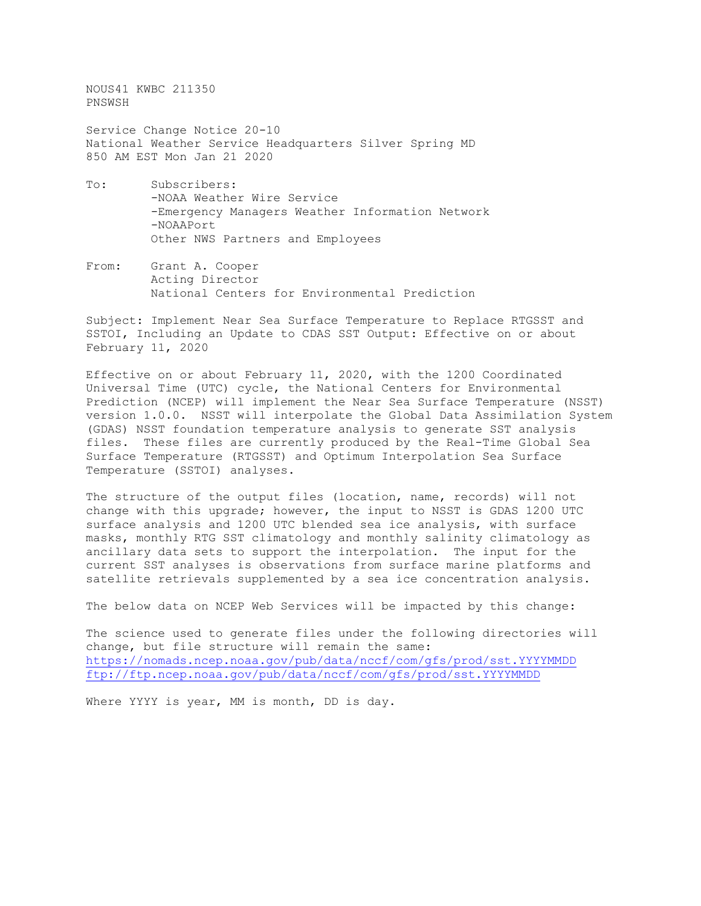NOUS41 KWBC 211350 PNSWSH

Service Change Notice 20-10 National Weather Service Headquarters Silver Spring MD 850 AM EST Mon Jan 21 2020

- To: Subscribers: -NOAA Weather Wire Service -Emergency Managers Weather Information Network -NOAAPort Other NWS Partners and Employees
- From: Grant A. Cooper Acting Director National Centers for Environmental Prediction

Subject: Implement Near Sea Surface Temperature to Replace RTGSST and SSTOI, Including an Update to CDAS SST Output: Effective on or about February 11, 2020

Effective on or about February 11, 2020, with the 1200 Coordinated Universal Time (UTC) cycle, the National Centers for Environmental Prediction (NCEP) will implement the Near Sea Surface Temperature (NSST) version 1.0.0. NSST will interpolate the Global Data Assimilation System (GDAS) NSST foundation temperature analysis to generate SST analysis files. These files are currently produced by the Real-Time Global Sea Surface Temperature (RTGSST) and Optimum Interpolation Sea Surface Temperature (SSTOI) analyses.

The structure of the output files (location, name, records) will not change with this upgrade; however, the input to NSST is GDAS 1200 UTC surface analysis and 1200 UTC blended sea ice analysis, with surface masks, monthly RTG SST climatology and monthly salinity climatology as ancillary data sets to support the interpolation. The input for the current SST analyses is observations from surface marine platforms and satellite retrievals supplemented by a sea ice concentration analysis.

The below data on NCEP Web Services will be impacted by this change:

The science used to generate files under the following directories will change, but file structure will remain the same: <https://nomads.ncep.noaa.gov/pub/data/nccf/com/gfs/prod/sst.YYYYMMDD> <ftp://ftp.ncep.noaa.gov/pub/data/nccf/com/gfs/prod/sst.YYYYMMDD>

Where YYYY is year, MM is month, DD is day.